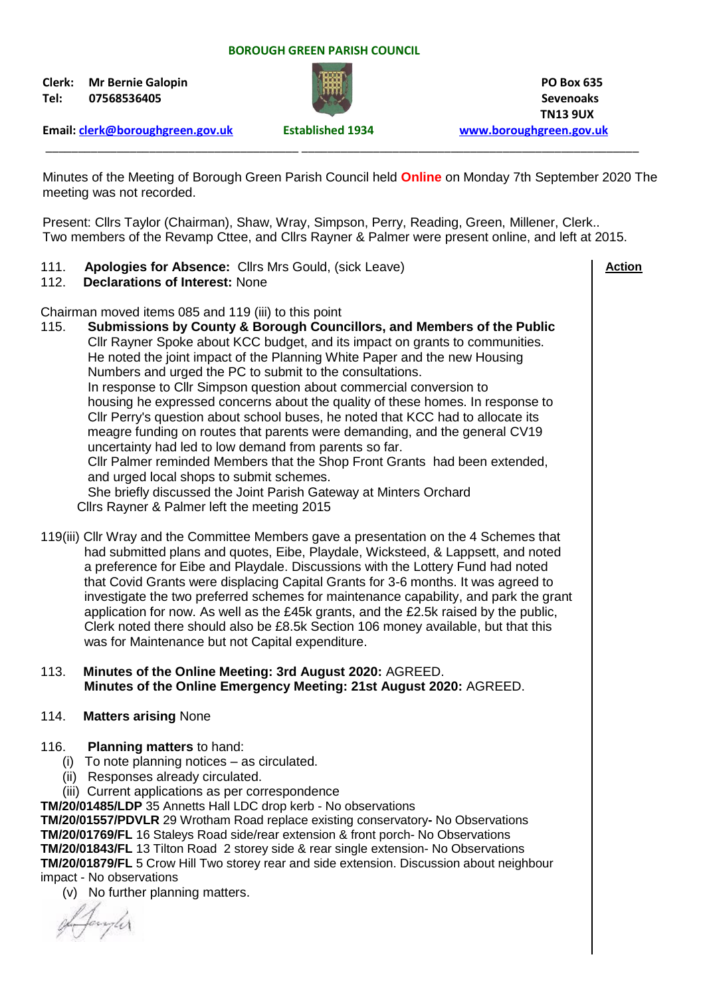#### **BOROUGH GREEN PARISH COUNCIL**

**Clerk: Mr Bernie Galopin PO Box 635 Tel: 07568536405 Sevenoaks**



 **TN13 9UX**

 **Action**

**Email: [clerk@boroughgreen.gov.uk](mailto:clerk@boroughgreen.gov.uk) Established 1934 [www.boroughgreen.gov.uk](http://www.boroughgreen.gov.uk/)**

Minutes of the Meeting of Borough Green Parish Council held **Online** on Monday 7th September 2020 The meeting was not recorded.

\_\_\_\_\_\_\_\_\_\_\_\_\_\_\_\_\_\_\_\_\_\_\_\_\_\_\_\_\_\_\_\_\_\_\_\_\_\_\_ \_\_\_\_\_\_\_\_\_\_\_\_\_\_\_\_\_\_\_\_\_\_\_\_\_\_\_\_\_\_\_\_\_\_\_\_\_\_\_\_\_\_\_\_\_\_\_\_\_\_\_\_

Present: Cllrs Taylor (Chairman), Shaw, Wray, Simpson, Perry, Reading, Green, Millener, Clerk.. Two members of the Revamp Cttee, and Cllrs Rayner & Palmer were present online, and left at 2015.

111. **Apologies for Absence:** Cllrs Mrs Gould, (sick Leave)

## 112. **Declarations of Interest:** None

Chairman moved items 085 and 119 (iii) to this point

- 115. **Submissions by County & Borough Councillors, and Members of the Public** Cllr Rayner Spoke about KCC budget, and its impact on grants to communities. He noted the joint impact of the Planning White Paper and the new Housing Numbers and urged the PC to submit to the consultations. In response to Cllr Simpson question about commercial conversion to housing he expressed concerns about the quality of these homes. In response to Cllr Perry's question about school buses, he noted that KCC had to allocate its meagre funding on routes that parents were demanding, and the general CV19 uncertainty had led to low demand from parents so far. Cllr Palmer reminded Members that the Shop Front Grants had been extended, and urged local shops to submit schemes. She briefly discussed the Joint Parish Gateway at Minters Orchard Cllrs Rayner & Palmer left the meeting 2015
- 119(iii) Cllr Wray and the Committee Members gave a presentation on the 4 Schemes that had submitted plans and quotes, Eibe, Playdale, Wicksteed, & Lappsett, and noted a preference for Eibe and Playdale. Discussions with the Lottery Fund had noted that Covid Grants were displacing Capital Grants for 3-6 months. It was agreed to investigate the two preferred schemes for maintenance capability, and park the grant application for now. As well as the £45k grants, and the £2.5k raised by the public, Clerk noted there should also be £8.5k Section 106 money available, but that this was for Maintenance but not Capital expenditure.
- 113. **Minutes of the Online Meeting: 3rd August 2020:** AGREED.  **Minutes of the Online Emergency Meeting: 21st August 2020:** AGREED.
- 114. **Matters arising** None
- 116. **Planning matters** to hand:
	- (i) To note planning notices as circulated.
	- (ii) Responses already circulated.
	- (iii) Current applications as per correspondence

**TM/20/01485/LDP** 35 Annetts Hall LDC drop kerb - No observations

**TM/20/01557/PDVLR** 29 Wrotham Road replace existing conservatory**-** No Observations **TM/20/01769/FL** 16 Staleys Road side/rear extension & front porch- No Observations **TM/20/01843/FL** 13 Tilton Road 2 storey side & rear single extension- No Observations **TM/20/01879/FL** 5 Crow Hill Two storey rear and side extension. Discussion about neighbour impact - No observations

(v) No further planning matters.

Jamphy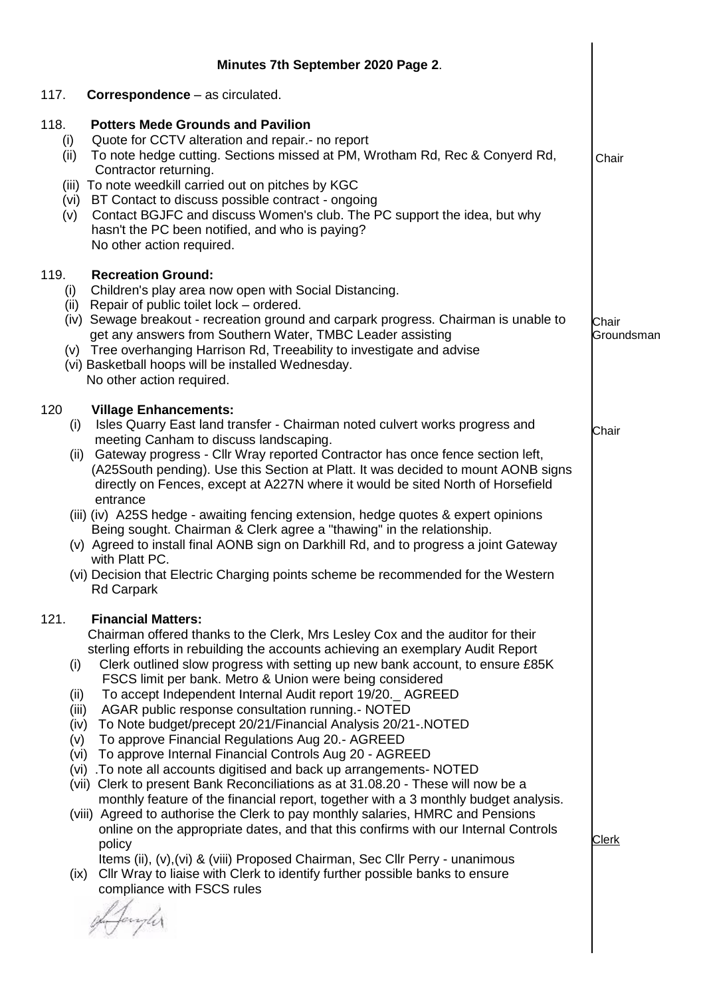|                            | Minutes 7th September 2020 Page 2.                                                                                                                                                                                                                                                                                                                                                                                                                                                                                                                                                                                                                                                                                                                                                                                                                                                                                                                                                                                                                                                                                                                                                                                                                                                                                          |                     |
|----------------------------|-----------------------------------------------------------------------------------------------------------------------------------------------------------------------------------------------------------------------------------------------------------------------------------------------------------------------------------------------------------------------------------------------------------------------------------------------------------------------------------------------------------------------------------------------------------------------------------------------------------------------------------------------------------------------------------------------------------------------------------------------------------------------------------------------------------------------------------------------------------------------------------------------------------------------------------------------------------------------------------------------------------------------------------------------------------------------------------------------------------------------------------------------------------------------------------------------------------------------------------------------------------------------------------------------------------------------------|---------------------|
| 117.                       | <b>Correspondence</b> – as circulated.                                                                                                                                                                                                                                                                                                                                                                                                                                                                                                                                                                                                                                                                                                                                                                                                                                                                                                                                                                                                                                                                                                                                                                                                                                                                                      |                     |
| 118.<br>(i)<br>(ii)<br>(v) | <b>Potters Mede Grounds and Pavilion</b><br>Quote for CCTV alteration and repair.- no report<br>To note hedge cutting. Sections missed at PM, Wrotham Rd, Rec & Conyerd Rd,<br>Contractor returning.<br>(iii) To note weedkill carried out on pitches by KGC<br>(vi) BT Contact to discuss possible contract - ongoing<br>Contact BGJFC and discuss Women's club. The PC support the idea, but why<br>hasn't the PC been notified, and who is paying?<br>No other action required.                                                                                                                                                                                                                                                                                                                                                                                                                                                                                                                                                                                                                                                                                                                                                                                                                                          | Chair               |
| 119.<br>(i)<br>(ii)        | <b>Recreation Ground:</b><br>Children's play area now open with Social Distancing.<br>Repair of public toilet lock – ordered.<br>(iv) Sewage breakout - recreation ground and carpark progress. Chairman is unable to<br>get any answers from Southern Water, TMBC Leader assisting<br>(v) Tree overhanging Harrison Rd, Treeability to investigate and advise<br>(vi) Basketball hoops will be installed Wednesday.<br>No other action required.                                                                                                                                                                                                                                                                                                                                                                                                                                                                                                                                                                                                                                                                                                                                                                                                                                                                           | Chair<br>Groundsman |
| 120<br>(i)                 | <b>Village Enhancements:</b><br>Isles Quarry East land transfer - Chairman noted culvert works progress and<br>meeting Canham to discuss landscaping.<br>Gateway progress - Cllr Wray reported Contractor has once fence section left,<br>(ii)<br>(A25South pending). Use this Section at Platt. It was decided to mount AONB signs<br>directly on Fences, except at A227N where it would be sited North of Horsefield<br>entrance<br>(iii) (iv) A25S hedge - awaiting fencing extension, hedge quotes & expert opinions<br>Being sought. Chairman & Clerk agree a "thawing" in the relationship.<br>(v) Agreed to install final AONB sign on Darkhill Rd, and to progress a joint Gateway<br>with Platt PC.<br>(vi) Decision that Electric Charging points scheme be recommended for the Western<br><b>Rd Carpark</b>                                                                                                                                                                                                                                                                                                                                                                                                                                                                                                      | Chair               |
| 121.<br>(i)                | <b>Financial Matters:</b><br>Chairman offered thanks to the Clerk, Mrs Lesley Cox and the auditor for their<br>sterling efforts in rebuilding the accounts achieving an exemplary Audit Report<br>Clerk outlined slow progress with setting up new bank account, to ensure £85K<br>FSCS limit per bank. Metro & Union were being considered<br>To accept Independent Internal Audit report 19/20. AGREED<br>(ii)<br>(iii)<br>AGAR public response consultation running.- NOTED<br>To Note budget/precept 20/21/Financial Analysis 20/21-.NOTED<br>(iv)<br>To approve Financial Regulations Aug 20.- AGREED<br>(v)<br>(vi) To approve Internal Financial Controls Aug 20 - AGREED<br>(vi) .To note all accounts digitised and back up arrangements- NOTED<br>(vii) Clerk to present Bank Reconciliations as at 31.08.20 - These will now be a<br>monthly feature of the financial report, together with a 3 monthly budget analysis.<br>(viii) Agreed to authorise the Clerk to pay monthly salaries, HMRC and Pensions<br>online on the appropriate dates, and that this confirms with our Internal Controls<br>policy<br>Items (ii), (v), (vi) & (viii) Proposed Chairman, Sec Cllr Perry - unanimous<br>Cllr Wray to liaise with Clerk to identify further possible banks to ensure<br>(ix)<br>compliance with FSCS rules | <b>Clerk</b>        |

 $\overline{\phantom{a}}$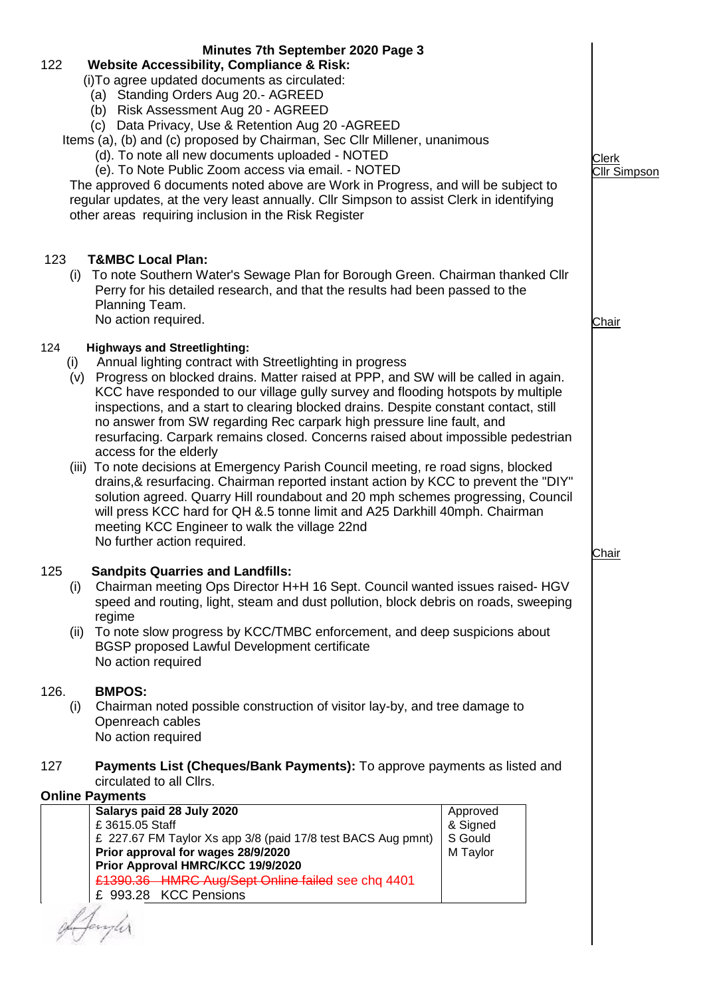| 122                | Minutes 7th September 2020 Page 3<br><b>Website Accessibility, Compliance &amp; Risk:</b><br>(i) To agree updated documents as circulated:<br>(a) Standing Orders Aug 20.- AGREED<br>(b) Risk Assessment Aug 20 - AGREED<br>(c) Data Privacy, Use & Retention Aug 20 - AGREED<br>Items (a), (b) and (c) proposed by Chairman, Sec Cllr Millener, unanimous<br>(d). To note all new documents uploaded - NOTED<br>(e). To Note Public Zoom access via email. - NOTED<br>The approved 6 documents noted above are Work in Progress, and will be subject to<br>regular updates, at the very least annually. Cllr Simpson to assist Clerk in identifying<br>other areas requiring inclusion in the Risk Register                                                                                                                                                                                                |                                             | Clerk<br><b>Cllr Simpson</b> |  |  |  |
|--------------------|-------------------------------------------------------------------------------------------------------------------------------------------------------------------------------------------------------------------------------------------------------------------------------------------------------------------------------------------------------------------------------------------------------------------------------------------------------------------------------------------------------------------------------------------------------------------------------------------------------------------------------------------------------------------------------------------------------------------------------------------------------------------------------------------------------------------------------------------------------------------------------------------------------------|---------------------------------------------|------------------------------|--|--|--|
| 123<br>(i)         | <b>T&amp;MBC Local Plan:</b><br>To note Southern Water's Sewage Plan for Borough Green. Chairman thanked Cllr<br>Perry for his detailed research, and that the results had been passed to the<br>Planning Team.<br>No action required.                                                                                                                                                                                                                                                                                                                                                                                                                                                                                                                                                                                                                                                                      |                                             | <b>Chair</b>                 |  |  |  |
| 124<br>(i)         | <b>Highways and Streetlighting:</b><br>Annual lighting contract with Streetlighting in progress<br>(v) Progress on blocked drains. Matter raised at PPP, and SW will be called in again.<br>KCC have responded to our village gully survey and flooding hotspots by multiple<br>inspections, and a start to clearing blocked drains. Despite constant contact, still<br>no answer from SW regarding Rec carpark high pressure line fault, and<br>resurfacing. Carpark remains closed. Concerns raised about impossible pedestrian<br>access for the elderly<br>(iii) To note decisions at Emergency Parish Council meeting, re road signs, blocked<br>drains, & resurfacing. Chairman reported instant action by KCC to prevent the "DIY"<br>solution agreed. Quarry Hill roundabout and 20 mph schemes progressing, Council<br>will press KCC hard for QH &.5 tonne limit and A25 Darkhill 40mph. Chairman |                                             |                              |  |  |  |
|                    | meeting KCC Engineer to walk the village 22nd<br>No further action required.                                                                                                                                                                                                                                                                                                                                                                                                                                                                                                                                                                                                                                                                                                                                                                                                                                |                                             | Chair                        |  |  |  |
| 125<br>(i)<br>(ii) | <b>Sandpits Quarries and Landfills:</b><br>Chairman meeting Ops Director H+H 16 Sept. Council wanted issues raised- HGV<br>speed and routing, light, steam and dust pollution, block debris on roads, sweeping<br>regime<br>To note slow progress by KCC/TMBC enforcement, and deep suspicions about<br>BGSP proposed Lawful Development certificate<br>No action required                                                                                                                                                                                                                                                                                                                                                                                                                                                                                                                                  |                                             |                              |  |  |  |
| 126.<br>(i)        | <b>BMPOS:</b><br>Chairman noted possible construction of visitor lay-by, and tree damage to<br>Openreach cables<br>No action required                                                                                                                                                                                                                                                                                                                                                                                                                                                                                                                                                                                                                                                                                                                                                                       |                                             |                              |  |  |  |
| 127                | <b>Payments List (Cheques/Bank Payments):</b> To approve payments as listed and<br>circulated to all Cllrs.                                                                                                                                                                                                                                                                                                                                                                                                                                                                                                                                                                                                                                                                                                                                                                                                 |                                             |                              |  |  |  |
|                    | <b>Online Payments</b>                                                                                                                                                                                                                                                                                                                                                                                                                                                                                                                                                                                                                                                                                                                                                                                                                                                                                      |                                             |                              |  |  |  |
|                    | Salarys paid 28 July 2020<br>£3615.05 Staff<br>£ 227.67 FM Taylor Xs app 3/8 (paid 17/8 test BACS Aug pmnt)<br>Prior approval for wages 28/9/2020<br>Prior Approval HMRC/KCC 19/9/2020<br>£1390.36 HMRC Aug/Sept Online failed see chq 4401<br>£ 993.28 KCC Pensions                                                                                                                                                                                                                                                                                                                                                                                                                                                                                                                                                                                                                                        | Approved<br>& Signed<br>S Gould<br>M Taylor |                              |  |  |  |
|                    |                                                                                                                                                                                                                                                                                                                                                                                                                                                                                                                                                                                                                                                                                                                                                                                                                                                                                                             |                                             |                              |  |  |  |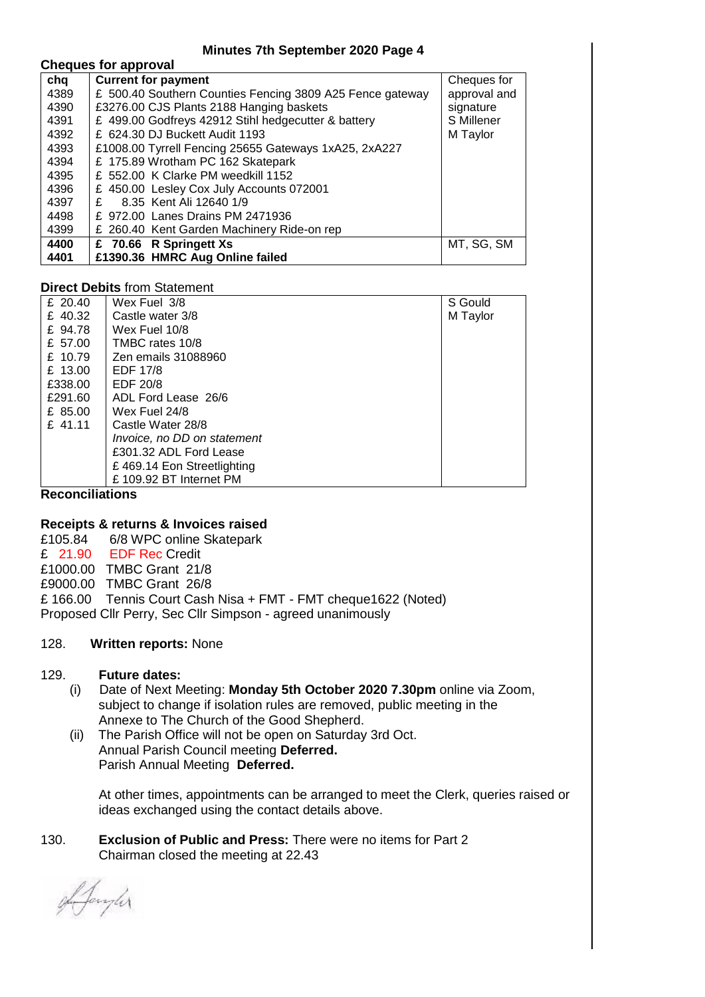#### **Minutes 7th September 2020 Page 4**

## **Cheques for approval**

| chq  | <b>Current for payment</b>                                | Cheques for  |
|------|-----------------------------------------------------------|--------------|
| 4389 | £ 500.40 Southern Counties Fencing 3809 A25 Fence gateway | approval and |
| 4390 | £3276.00 CJS Plants 2188 Hanging baskets                  | signature    |
| 4391 | £ 499.00 Godfreys 42912 Stihl hedgecutter & battery       | S Millener   |
| 4392 | £ 624.30 DJ Buckett Audit 1193                            | M Taylor     |
| 4393 | £1008.00 Tyrrell Fencing 25655 Gateways 1xA25, 2xA227     |              |
| 4394 | £ 175.89 Wrotham PC 162 Skatepark                         |              |
| 4395 | £ 552.00 K Clarke PM weedkill 1152                        |              |
| 4396 | £ 450.00 Lesley Cox July Accounts 072001                  |              |
| 4397 | 8.35 Kent Ali 12640 1/9<br>£                              |              |
| 4498 | £ 972.00 Lanes Drains PM 2471936                          |              |
| 4399 | £ 260.40 Kent Garden Machinery Ride-on rep                |              |
| 4400 | £ 70.66 R Springett Xs                                    | MT, SG, SM   |
| 4401 | £1390.36 HMRC Aug Online failed                           |              |

### **Direct Debits** from Statement

| £ $20.40$ | Wex Fuel 3/8                | S Gould  |
|-----------|-----------------------------|----------|
| £ 40.32   | Castle water 3/8            | M Taylor |
| £ 94.78   | Wex Fuel 10/8               |          |
| £ 57.00   | TMBC rates 10/8             |          |
| £ 10.79   | Zen emails 31088960         |          |
| £ 13.00   | <b>EDF 17/8</b>             |          |
| £338.00   | EDF 20/8                    |          |
| £291.60   | ADL Ford Lease 26/6         |          |
| £ 85.00   | Wex Fuel 24/8               |          |
| $£$ 41.11 | Castle Water 28/8           |          |
|           | Invoice, no DD on statement |          |
|           | £301.32 ADL Ford Lease      |          |
|           | £469.14 Eon Streetlighting  |          |
|           | £109.92 BT Internet PM      |          |

**Reconciliations**

**Receipts & returns & Invoices raised** 6/8 WPC online Skatepark £ 21.90 EDF Rec Credit £1000.00 TMBC Grant 21/8 £9000.00 TMBC Grant 26/8 £ 166.00 Tennis Court Cash Nisa + FMT - FMT cheque1622 (Noted)

Proposed Cllr Perry, Sec Cllr Simpson - agreed unanimously

## 128. **Written reports:** None

#### 129. **Future dates:**

- (i) Date of Next Meeting: **Monday 5th October 2020 7.30pm** online via Zoom, subject to change if isolation rules are removed, public meeting in the Annexe to The Church of the Good Shepherd.
- (ii) The Parish Office will not be open on Saturday 3rd Oct. Annual Parish Council meeting **Deferred.** Parish Annual Meeting **Deferred.**

 At other times, appointments can be arranged to meet the Clerk, queries raised or ideas exchanged using the contact details above.

130. **Exclusion of Public and Press:** There were no items for Part 2 Chairman closed the meeting at 22.43

Afangler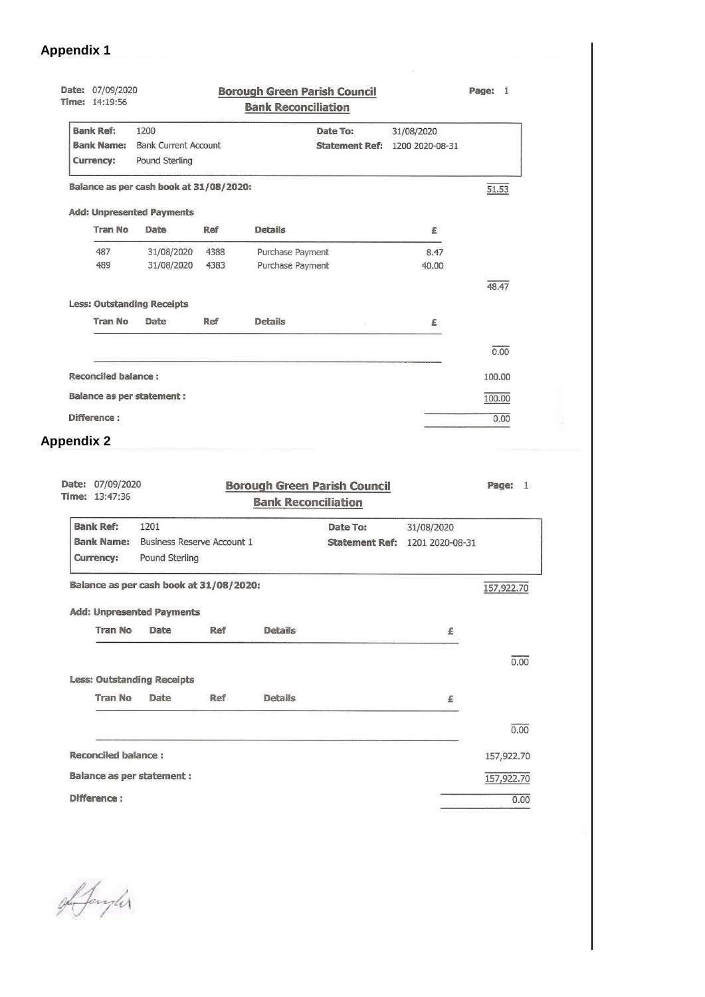# **Appendix 1**

| Date: 07/09/2020<br>Time: 14:19:56 |                                         |            | <b>Borough Green Parish Council</b><br><b>Bank Reconciliation</b> |                 | Page: 1 |
|------------------------------------|-----------------------------------------|------------|-------------------------------------------------------------------|-----------------|---------|
| <b>Bank Ref:</b>                   | 1200                                    |            | Date To:                                                          | 31/08/2020      |         |
| <b>Bank Name:</b>                  | <b>Bank Current Account</b>             |            | <b>Statement Ref:</b>                                             | 1200 2020-08-31 |         |
| Pound Sterling<br><b>Currency:</b> |                                         |            |                                                                   |                 |         |
|                                    | Balance as per cash book at 31/08/2020: |            |                                                                   |                 | 51.53   |
| <b>Add: Unpresented Payments</b>   |                                         |            |                                                                   |                 |         |
| <b>Tran No</b>                     | Date                                    | Ref        | <b>Details</b>                                                    | £               |         |
| 487                                | 31/08/2020                              | 4388       | Purchase Payment                                                  | 8.47            |         |
| 489                                | 31/08/2020                              | 4383       | Purchase Payment                                                  | 40.00           |         |
|                                    |                                         |            |                                                                   |                 | 48.47   |
| <b>Less: Outstanding Receipts</b>  |                                         |            |                                                                   |                 |         |
| <b>Tran No</b>                     | Date                                    | <b>Ref</b> | <b>Details</b>                                                    | £               |         |
|                                    |                                         |            |                                                                   |                 | 0.00    |
| <b>Reconciled balance:</b>         |                                         |            |                                                                   |                 | 100.00  |
| <b>Balance as per statement:</b>   |                                         |            |                                                                   |                 | 100.00  |
| Difference:                        |                                         |            |                                                                   |                 | 0.00    |

# **Appendix 2**

| 07/09/2020<br>Date:<br>Time: 13:47:36 |                                         | Page: | $\mathbf{1}$   |          |                                       |            |  |  |  |
|---------------------------------------|-----------------------------------------|-------|----------------|----------|---------------------------------------|------------|--|--|--|
| <b>Bank Ref:</b>                      | 1201                                    |       |                | Date To: | 31/08/2020                            |            |  |  |  |
| <b>Bank Name:</b>                     | <b>Business Reserve Account 1</b>       |       |                |          | <b>Statement Ref: 1201 2020-08-31</b> |            |  |  |  |
| <b>Currency:</b>                      | Pound Sterling                          |       |                |          |                                       |            |  |  |  |
|                                       | Balance as per cash book at 31/08/2020: |       |                |          |                                       |            |  |  |  |
| <b>Add: Unpresented Payments</b>      |                                         |       |                |          |                                       |            |  |  |  |
| <b>Tran No</b>                        | Date                                    | Ref   | <b>Details</b> |          | £                                     |            |  |  |  |
|                                       |                                         |       |                |          |                                       | 0.00       |  |  |  |
|                                       | <b>Less: Outstanding Receipts</b>       |       |                |          |                                       |            |  |  |  |
| <b>Tran No</b>                        | Date                                    | Ref   | <b>Details</b> |          | £                                     |            |  |  |  |
|                                       |                                         |       |                |          |                                       | 0.00       |  |  |  |
| <b>Reconciled balance:</b>            |                                         |       |                |          |                                       | 157,922.70 |  |  |  |
| <b>Balance as per statement:</b>      |                                         |       |                |          |                                       | 157,922.70 |  |  |  |
| Difference:                           |                                         | 0.00  |                |          |                                       |            |  |  |  |

Afangler